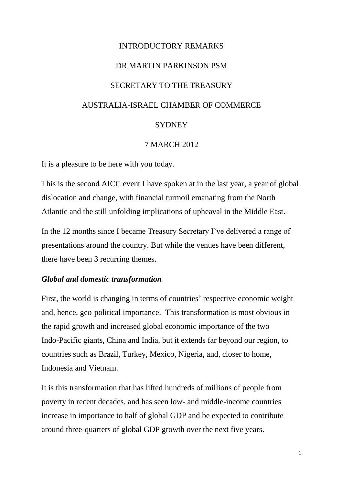# INTRODUCTORY REMARKS DR MARTIN PARKINSON PSM SECRETARY TO THE TREASURY AUSTRALIA-ISRAEL CHAMBER OF COMMERCE **SYDNEY**

#### 7 MARCH 2012

It is a pleasure to be here with you today.

This is the second AICC event I have spoken at in the last year, a year of global dislocation and change, with financial turmoil emanating from the North Atlantic and the still unfolding implications of upheaval in the Middle East.

In the 12 months since I became Treasury Secretary I've delivered a range of presentations around the country. But while the venues have been different, there have been 3 recurring themes.

#### *Global and domestic transformation*

First, the world is changing in terms of countries' respective economic weight and, hence, geo-political importance. This transformation is most obvious in the rapid growth and increased global economic importance of the two Indo-Pacific giants, China and India, but it extends far beyond our region, to countries such as Brazil, Turkey, Mexico, Nigeria, and, closer to home, Indonesia and Vietnam.

It is this transformation that has lifted hundreds of millions of people from poverty in recent decades, and has seen low- and middle-income countries increase in importance to half of global GDP and be expected to contribute around three-quarters of global GDP growth over the next five years.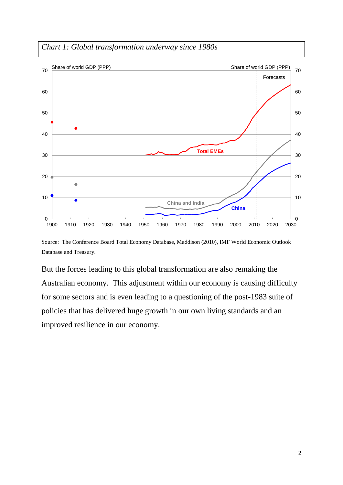



Source: The Conference Board Total Economy Database, Maddison (2010), IMF World Economic Outlook Database and Treasury.

But the forces leading to this global transformation are also remaking the Australian economy. This adjustment within our economy is causing difficulty for some sectors and is even leading to a questioning of the post-1983 suite of policies that has delivered huge growth in our own living standards and an improved resilience in our economy.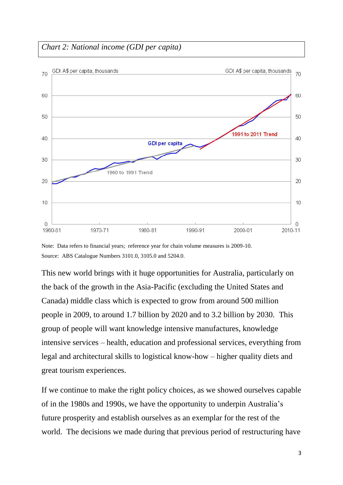## *Chart 2: National income (GDI per capita)*



Note: Data refers to financial years; reference year for chain volume measures is 2009-10. Source: ABS Catalogue Numbers 3101.0, 3105.0 and 5204.0.

This new world brings with it huge opportunities for Australia, particularly on the back of the growth in the Asia-Pacific (excluding the United States and Canada) middle class which is expected to grow from around 500 million people in 2009, to around 1.7 billion by 2020 and to 3.2 billion by 2030. This group of people will want knowledge intensive manufactures, knowledge intensive services – health, education and professional services, everything from legal and architectural skills to logistical know-how – higher quality diets and great tourism experiences.

If we continue to make the right policy choices, as we showed ourselves capable of in the 1980s and 1990s, we have the opportunity to underpin Australia's future prosperity and establish ourselves as an exemplar for the rest of the world. The decisions we made during that previous period of restructuring have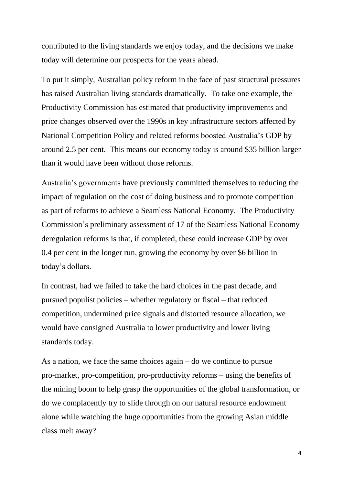contributed to the living standards we enjoy today, and the decisions we make today will determine our prospects for the years ahead.

To put it simply, Australian policy reform in the face of past structural pressures has raised Australian living standards dramatically. To take one example, the Productivity Commission has estimated that productivity improvements and price changes observed over the 1990s in key infrastructure sectors affected by National Competition Policy and related reforms boosted Australia's GDP by around 2.5 per cent. This means our economy today is around \$35 billion larger than it would have been without those reforms.

Australia's governments have previously committed themselves to reducing the impact of regulation on the cost of doing business and to promote competition as part of reforms to achieve a Seamless National Economy. The Productivity Commission's preliminary assessment of 17 of the Seamless National Economy deregulation reforms is that, if completed, these could increase GDP by over 0.4 per cent in the longer run, growing the economy by over \$6 billion in today's dollars.

In contrast, had we failed to take the hard choices in the past decade, and pursued populist policies – whether regulatory or fiscal – that reduced competition, undermined price signals and distorted resource allocation, we would have consigned Australia to lower productivity and lower living standards today.

As a nation, we face the same choices again – do we continue to pursue pro-market, pro-competition, pro-productivity reforms – using the benefits of the mining boom to help grasp the opportunities of the global transformation, or do we complacently try to slide through on our natural resource endowment alone while watching the huge opportunities from the growing Asian middle class melt away?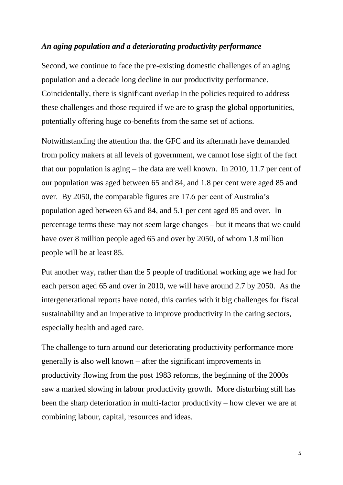#### *An aging population and a deteriorating productivity performance*

Second, we continue to face the pre-existing domestic challenges of an aging population and a decade long decline in our productivity performance. Coincidentally, there is significant overlap in the policies required to address these challenges and those required if we are to grasp the global opportunities, potentially offering huge co-benefits from the same set of actions.

Notwithstanding the attention that the GFC and its aftermath have demanded from policy makers at all levels of government, we cannot lose sight of the fact that our population is aging – the data are well known. In 2010, 11.7 per cent of our population was aged between 65 and 84, and 1.8 per cent were aged 85 and over. By 2050, the comparable figures are 17.6 per cent of Australia's population aged between 65 and 84, and 5.1 per cent aged 85 and over. In percentage terms these may not seem large changes – but it means that we could have over 8 million people aged 65 and over by 2050, of whom 1.8 million people will be at least 85.

Put another way, rather than the 5 people of traditional working age we had for each person aged 65 and over in 2010, we will have around 2.7 by 2050. As the intergenerational reports have noted, this carries with it big challenges for fiscal sustainability and an imperative to improve productivity in the caring sectors, especially health and aged care.

The challenge to turn around our deteriorating productivity performance more generally is also well known – after the significant improvements in productivity flowing from the post 1983 reforms, the beginning of the 2000s saw a marked slowing in labour productivity growth. More disturbing still has been the sharp deterioration in multi-factor productivity – how clever we are at combining labour, capital, resources and ideas.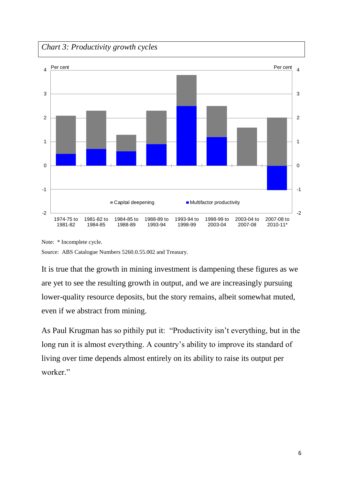*Chart 3: Productivity growth cycles* 



Note: \* Incomplete cycle.

Source: ABS Catalogue Numbers 5260.0.55.002 and Treasury.

It is true that the growth in mining investment is dampening these figures as we are yet to see the resulting growth in output, and we are increasingly pursuing lower-quality resource deposits, but the story remains, albeit somewhat muted, even if we abstract from mining.

As Paul Krugman has so pithily put it: "Productivity isn't everything, but in the long run it is almost everything. A country's ability to improve its standard of living over time depends almost entirely on its ability to raise its output per worker."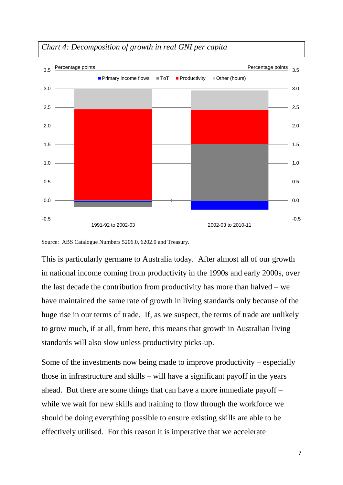

### *Chart 4: Decomposition of growth in real GNI per capita*

Source: ABS Catalogue Numbers 5206.0, 6202.0 and Treasury.

This is particularly germane to Australia today. After almost all of our growth in national income coming from productivity in the 1990s and early 2000s, over the last decade the contribution from productivity has more than halved – we have maintained the same rate of growth in living standards only because of the huge rise in our terms of trade. If, as we suspect, the terms of trade are unlikely to grow much, if at all, from here, this means that growth in Australian living standards will also slow unless productivity picks-up.

Some of the investments now being made to improve productivity – especially those in infrastructure and skills – will have a significant payoff in the years ahead. But there are some things that can have a more immediate payoff – while we wait for new skills and training to flow through the workforce we should be doing everything possible to ensure existing skills are able to be effectively utilised. For this reason it is imperative that we accelerate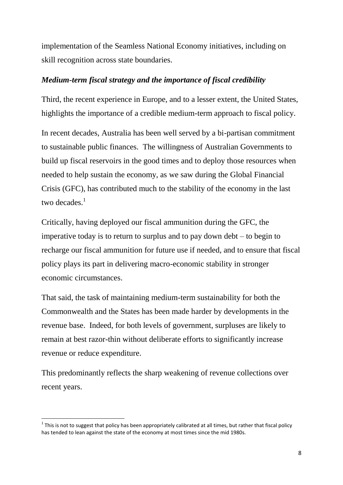implementation of the Seamless National Economy initiatives, including on skill recognition across state boundaries.

#### *Medium-term fiscal strategy and the importance of fiscal credibility*

Third, the recent experience in Europe, and to a lesser extent, the United States, highlights the importance of a credible medium-term approach to fiscal policy.

In recent decades, Australia has been well served by a bi-partisan commitment to sustainable public finances. The willingness of Australian Governments to build up fiscal reservoirs in the good times and to deploy those resources when needed to help sustain the economy, as we saw during the Global Financial Crisis (GFC), has contributed much to the stability of the economy in the last two decades.<sup>1</sup>

Critically, having deployed our fiscal ammunition during the GFC, the imperative today is to return to surplus and to pay down debt – to begin to recharge our fiscal ammunition for future use if needed, and to ensure that fiscal policy plays its part in delivering macro-economic stability in stronger economic circumstances.

That said, the task of maintaining medium-term sustainability for both the Commonwealth and the States has been made harder by developments in the revenue base. Indeed, for both levels of government, surpluses are likely to remain at best razor-thin without deliberate efforts to significantly increase revenue or reduce expenditure.

This predominantly reflects the sharp weakening of revenue collections over recent years.

**.** 

 $1$  This is not to suggest that policy has been appropriately calibrated at all times, but rather that fiscal policy has tended to lean against the state of the economy at most times since the mid 1980s.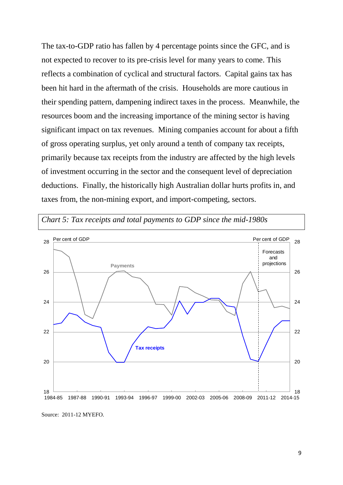The tax-to-GDP ratio has fallen by 4 percentage points since the GFC, and is not expected to recover to its pre-crisis level for many years to come. This reflects a combination of cyclical and structural factors. Capital gains tax has been hit hard in the aftermath of the crisis. Households are more cautious in their spending pattern, dampening indirect taxes in the process. Meanwhile, the resources boom and the increasing importance of the mining sector is having significant impact on tax revenues. Mining companies account for about a fifth of gross operating surplus, yet only around a tenth of company tax receipts, primarily because tax receipts from the industry are affected by the high levels of investment occurring in the sector and the consequent level of depreciation deductions. Finally, the historically high Australian dollar hurts profits in, and taxes from, the non-mining export, and import-competing, sectors.



*Chart 5: Tax receipts and total payments to GDP since the mid-1980s* 

Source: 2011-12 MYEFO.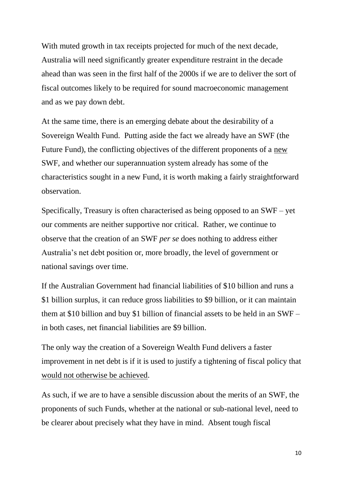With muted growth in tax receipts projected for much of the next decade, Australia will need significantly greater expenditure restraint in the decade ahead than was seen in the first half of the 2000s if we are to deliver the sort of fiscal outcomes likely to be required for sound macroeconomic management and as we pay down debt.

At the same time, there is an emerging debate about the desirability of a Sovereign Wealth Fund. Putting aside the fact we already have an SWF (the Future Fund), the conflicting objectives of the different proponents of a new SWF, and whether our superannuation system already has some of the characteristics sought in a new Fund, it is worth making a fairly straightforward observation.

Specifically, Treasury is often characterised as being opposed to an SWF – yet our comments are neither supportive nor critical. Rather, we continue to observe that the creation of an SWF *per se* does nothing to address either Australia's net debt position or, more broadly, the level of government or national savings over time.

If the Australian Government had financial liabilities of \$10 billion and runs a \$1 billion surplus, it can reduce gross liabilities to \$9 billion, or it can maintain them at \$10 billion and buy \$1 billion of financial assets to be held in an SWF – in both cases, net financial liabilities are \$9 billion.

The only way the creation of a Sovereign Wealth Fund delivers a faster improvement in net debt is if it is used to justify a tightening of fiscal policy that would not otherwise be achieved.

As such, if we are to have a sensible discussion about the merits of an SWF, the proponents of such Funds, whether at the national or sub-national level, need to be clearer about precisely what they have in mind. Absent tough fiscal